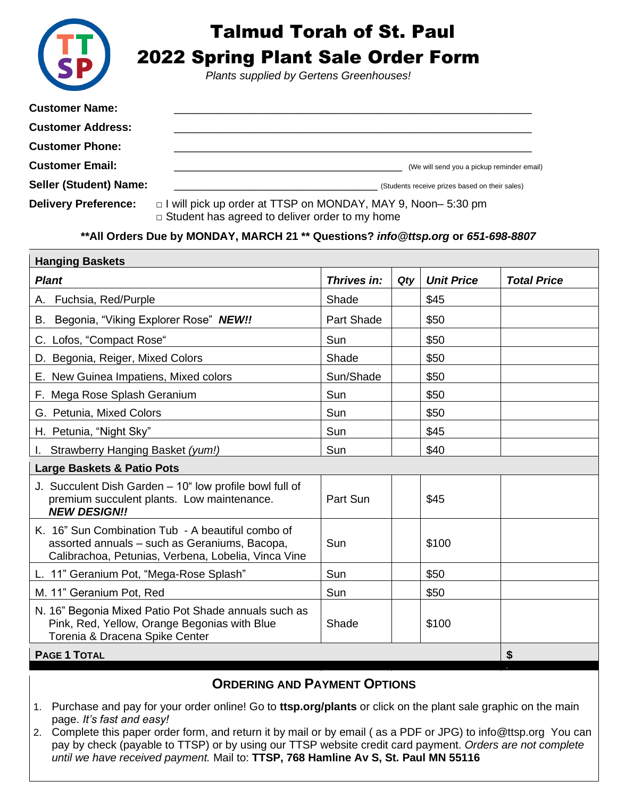

## Talmud Torah of St. Paul

2022 Spring Plant Sale Order Form

*Plants supplied by Gertens Greenhouses!*

| <b>Customer Name:</b>         |                                                |
|-------------------------------|------------------------------------------------|
| <b>Customer Address:</b>      |                                                |
| <b>Customer Phone:</b>        |                                                |
| <b>Customer Email:</b>        | (We will send you a pickup reminder email)     |
| <b>Seller (Student) Name:</b> | (Students receive prizes based on their sales) |

**Delivery Preference:** □ I will pick up order at TTSP on MONDAY, MAY 9, Noon– 5:30 pm  $\Box$  Student has agreed to deliver order to my home

**\*\*All Orders Due by MONDAY, MARCH 21 \*\* Questions?** *[info@ttsp.org](mailto:info@ttsp.org)* **or** *651-698-8807*

| <b>Hanging Baskets</b>                                                                                                                                    |                   |     |                   |                    |  |  |
|-----------------------------------------------------------------------------------------------------------------------------------------------------------|-------------------|-----|-------------------|--------------------|--|--|
| <b>Plant</b>                                                                                                                                              | Thrives in:       | Qty | <b>Unit Price</b> | <b>Total Price</b> |  |  |
| A. Fuchsia, Red/Purple                                                                                                                                    | Shade             |     | \$45              |                    |  |  |
| B. Begonia, "Viking Explorer Rose" NEW!!                                                                                                                  | <b>Part Shade</b> |     | \$50              |                    |  |  |
| C. Lofos, "Compact Rose"                                                                                                                                  | Sun               |     | \$50              |                    |  |  |
| D. Begonia, Reiger, Mixed Colors                                                                                                                          | Shade             |     | \$50              |                    |  |  |
| E. New Guinea Impatiens, Mixed colors                                                                                                                     | Sun/Shade         |     | \$50              |                    |  |  |
| F. Mega Rose Splash Geranium                                                                                                                              | Sun               |     | \$50              |                    |  |  |
| G. Petunia, Mixed Colors                                                                                                                                  | Sun               |     | \$50              |                    |  |  |
| H. Petunia, "Night Sky"                                                                                                                                   | Sun               |     | \$45              |                    |  |  |
| Strawberry Hanging Basket (yum!)                                                                                                                          | Sun               |     | \$40              |                    |  |  |
| <b>Large Baskets &amp; Patio Pots</b>                                                                                                                     |                   |     |                   |                    |  |  |
| J. Succulent Dish Garden - 10" low profile bowl full of<br>premium succulent plants. Low maintenance.<br><b>NEW DESIGN!!</b>                              | Part Sun          |     | \$45              |                    |  |  |
| K. 16" Sun Combination Tub - A beautiful combo of<br>assorted annuals - such as Geraniums, Bacopa,<br>Calibrachoa, Petunias, Verbena, Lobelia, Vinca Vine | Sun               |     | \$100             |                    |  |  |
| L. 11" Geranium Pot, "Mega-Rose Splash"                                                                                                                   | Sun               |     | \$50              |                    |  |  |
| M. 11" Geranium Pot, Red                                                                                                                                  | Sun               |     | \$50              |                    |  |  |
| N. 16" Begonia Mixed Patio Pot Shade annuals such as<br>Pink, Red, Yellow, Orange Begonias with Blue<br>Torenia & Dracena Spike Center                    | Shade             |     | \$100             |                    |  |  |
| <b>PAGE 1 TOTAL</b>                                                                                                                                       | \$                |     |                   |                    |  |  |

## **ORDERING AND PAYMENT OPTIONS**

- 1. Purchase and pay for your order online! Go to **ttsp.org/plants** or click on the plant sale graphic on the main page. *It's fast and easy!*
- 2. Complete this paper order form, and return it by mail or by email ( as a PDF or JPG) to [info@ttsp.org](mailto:info@ttsp.org) You can pay by check (payable to TTSP) or by using our TTSP website credit card payment. *Orders are not complete until we have received payment.* Mail to: **TTSP, 768 Hamline Av S, St. Paul MN 55116**